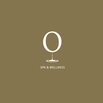

# SPA & WELLNESS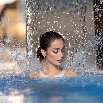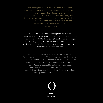En O Spa adoptamos una nueva forma holística de wellness. Hemos creado un lugar de relax. Nuestro concepto de Spa está basado en la utilización de productos exclusivos. Nuestros terapeutas están formados en diferentes artes y están dispuestos a aconsejarles sobre los tratamientos que más se adapten a sus necesidades del momento. Nuestra meta es lograr un despertar de sensaciones que transformen su cuerpo y mente.

At O Spa we adopt a new holistic approach to Wellness. We have created a place to relax. Our Spa concept is based on the use of exclusive products. Our therapists are trained in various techniques and are willing to advice you on the most appropriate treatments according to your needs. Our aim is to achieve an awakening of sensations that transform your body and soul.

Im O Spa haben wir uns einer neuen, holistischen Art des Wohlbefindens hingegeben. Wir haben einen Raum zum Entspannen geschaffen und unser SPA-Konzept beruht auf der Verwendung von exklusiven Produkten. Unsere Therapeuten sind in zahlreichen Massagetechniken ausgebildet und beraten Sie gern dazu, welche Behandlungen für Sie empfehlenswert sind. Unser Ziel ist es, Körper und Geist durch das Erwachen aller Sinne zu Entspannung und Harmonie zu führen.

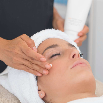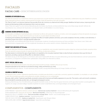# FACIALES FACIAL CARE · GESICHTSBEHANDLUNGEN

### **DIAMOND LIFEINFUSION 90mins.**

Este "Elixir de Juventud" es un tratamiento intensivo que proporciona una piel más firme, luminosa como un diamante y visiblemente más joven. Redefine el contorno facial, mejorando la textura cutánea y disminuyendo las arrugas y líneas de expresión en tan sólo una sesión.

This "Elixir of Youth" is an intensive treatment that provides firmer skin, luminous as a diamond and visibly younger. Redefines the facial contour, improving the skin texture and decreasing wrinkles and expression lines in just one session.

Dieses "Elixier der Jugend" ist eine intensive Behandlung, die eine festere, leuchtende und diamantähnliche Haut und sichtbar jünger darstellt. Definiert die Gesichtskontur neu, verbessert die Hautstruktur und reduziert Falten und Mimikfalten in nur einer Sitzung.

### **DIAMOND COCOON EXPERIENCE 60mins.**

Un renovador y revitalizante ritual diseñado para contrarrestar los efectos de la polución moderna y el estrés, como la tez apagada, las líneas de expresión, las arrugas o las manchas cutáneas. Un respiro desintoxicante que resulta en una piel radiante de belleza natural.

A renewing and revitalizing ritual designed to counteract the effects of modern pollution and stress, such as dull complexion, fine lines, wrinkles or skin blemishes. A detoxifying respite that results in naturally beautiful radiant skin.

Ein erneuerndes und revitalisierendes Ritual, das den Auswirkungen moderner Umweltverschmutzung und Stress wie fahlem Teint, feinen Linien, Falten oder Hautunreinheiten entgegenwirken soll. Eine entgiftende Atempause, die zu einer natürlich schönen, strahlenden Haut führt.

### **INHIBITFACE AND NECK LIFT 90mins.**

La solución ideal para minimizar los signos de la edad; gracias a sus ingredientes, este innovador tratamiento ayuda a relajar las contracciones faciales causantes de las líneas de expresión, proporcionando un espectacular efecto lifting: una alternativa al Botox.

The ideal solution to minimize the signs of age; thanks to its ingredients, this innovative treatment helps to relax the facial contractions that cause the lines of expression, providing a spectacular lifting effect: an alternative to Botox.

Die ideale Lösung, um die Altersspuren zu minimieren; dank seiner Inhaltsstoffe hilft diese innovative Behandlung, die Gesichtskontraktionen, die die Ausdruckslinien verursachen, zu entspannen und bietet einen spektakulären Lifting-Effekt: eine Alternative zu Botox.

### **GENTS'SPECIALCARE 60mins.**

Diseñado especialmente para el rostro masculino para proporcionarle la energía, vitalidad y frescura que necesita. Designed especially for the male face to provide the energy, vitality and freshness you need. Gesichtsbehandlung für Männer . Für das männliche Gesicht erstellt, versorgt diese Behandlung mit Energie, Vitalität und Frische.

### **CALMING & COMFORT 60mins.**

Recuperación, alivio, confort. Tratamiento específicamente concebido para devolverle a su piel toda su armonía y apariencia saludable. Los resultados: un cutis calmado y suave. Recomendado para pieles extremadamente sensibles, dañadas por el sol y embarazadas.

Recovery, relief, comfort. Treatment specifically conceived to restore all its harmony and healthy appearance to your skin. The results: a calm and smooth complexion. Recommended for extremely sensitive skin, sun damaged and pregnant women.

Erholung, Erleichterung, Trost. Eine Behandlung, die speziell entwickelt wurde, um Ihrer Haut ihre ganze Harmonie und ihr gesundes Aussehen zurückzugeben. Das Ergebnis: ein ruhiges und ebenmäßiges Hautbild. Empfohlen für extrem empfindliche Haut, sonnengeschädigte und schwangere Frauen.

## COMPLEMENTOS · COMPLEMENTS

EXTRA PREMIUM · Tratamiento intensivo contorno de ojos · Intensive eye countour treatment · Intensive Behandlung der Augenpartie EXTRA HIGIENIZACIÓN · Extracción de impurezas · Removal of impurities · Entfernung von Verunreinigungen MASAJE DE CUELLO Y HOMBROS 20min · Neck and shoulders massage 20min · Nacken- und Schultermassage 20 min CORRECCIÓN DE CEJAS · Eyebrow correction · Augenbrauenkorrektur TINTE DE CEJAS O PESTAÑAS · Eyebrow or eyelash tint · Augenbrauen oder Wimpern färben DEPILACIÓN LABIO SUPERIOR · Upper lip hair removal · Haarentfernung Oberlippe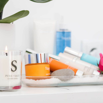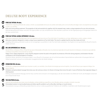# DELUXE BODY EXPERIENCE

### **PURESALT RITUAL 90mins.**

Tratamiento corporal purificante de cuerpo y mente. Las propiedades de la sal y los aceites esenciales junto con la envoltura de algas crean una experiencia única para su piel y sus sentidos

Body and mind purifying treatment. The properties of salt and essential oils, together with the seaweed wrap, create a unique experience for your skin and senses. Klärende Behandlung für Körper und Geist. Die Eigenschaften von Salz und ätherischen Ölen bewirken zusammen mit der Algenpackung ein einzigartiges Erlebnis für die Haut und die Sinne.

### **PURESALT RITUAL GLOBALEXPERIENCE 120mins.**

Meticuloso tratamiento diseñado para crear una experiencia de lujo única en Pure Salt Hotels. El resultado es un ritual global para su rostro, cuerpo y mente. Meticulous treatment designed to create a unique luxury experience at Pure Salt Hotels. The result is a global ritual for your face, body and mind. Sorgfältige Behandlung, die kreiert wurde um ein einzigartiges Luxuserlebnis in den Pure Salt Hotels anzubieten. Das Ergebnis ist ein ganzheitliches Ritual für Gesicht, Körper und Geist.

### **ME &MEEXPERIENCE 60 / 90mins.**

Mamás felices, embarazos felices. Ritual de lujo para embarazadas enfocado a las circunstancias especiales de la piel durante el embarazo y la lactancia que además contribuye al equilibrio emocional de las mamás.

Happy mums, happy pregnancies. Luxury ritual for pregnant women focused on the special circumstances of the skin during pregnancy and lactation that also contributes to the emotional balance of mothers.

Glückliche Mütter, glückliche Schwangerschaften. Luxus-Ritual für Schwangere, das sich auf die besonderen Hautverhältnisse während der Schwangerschaft und Stillzeit konzentriert und auch zur emotionalen Ausgeglichenheit der Mütter beiträgt.

### **HYDRATION VEIL 60mins.**

Exfoliación y masaje personalizado que renuevan su piel y sus sentidos. Una infusión de energía que aviva el espíritu. Una ola de frescor que evapora la fatiga. Una pausa relajante.

Exfoliation and personalized massage that renew your skin and your senses. An infusion of energy that revives the spirit. A wave of freshness that evaporates fatigue. A relaxing pause.

Peeling und personalisierte Massage, die Ihre Haut und Ihre Sinne erneuern. Ein Energieaufguss, der den Geist belebt. Eine Welle der Frische, die Müdigkeit verdunstet. Eine entspannende Pause.

# **THESOLUTION 60mins.**

Solución personalizada para tratar zonas localizadas y aliviar problemas específicos como flacidez, piernas cansadas o tensión muscular.

Personalized solution to treat localised areas and relieve specific problems such as flaccidity, tired legs or muscle tension.

Personalisierte Lösung zur Behandlung lokaler Bereiche und zur Linderung spezifischer Probleme wie Schlaffheit, müde Beine oder Muskelverspannungen.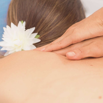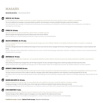# MASAJES

## MASSAGES · MASSAGEN



### **SUECO 30 / 60 / 90mins.**

El más tradicional de los masajes. Favorece la circulación sanguínea, la eliminación de toxinas y ayuda al cuerpo a relajarse y re-equilibrarse. The most traditional of massages. It promotes blood circulation, the elimination of toxins and helps the body to relax and re-balance. Die traditionellste aller Massagen. Sie fördert die Durchblutung, die Ausscheidung von Giftstoffen und hilft dem Körper, sich zu entspannen und wieder ins Gleichgewicht zu kommen.

### **FITNESS 30 / 60mins.**

Ideal para personas con alta actividad física. Alivia el dolor y la rigidez muscular. Ideal for people with high physical activity. Relieves pain and muscle stiffness. Ideal für Menschen mit hoher körperlicher Aktivität. Lindert Schmerzen und Muskelsteifheit.

### **HOLISTICEXPERIENCE 60 / 90 mins.**

Exclusivo masaje que fusiona las tradicionales técnicas del masaje Lomi-Lomi y Piedras Calientes con el objetivo de llevar la mente y el cuerpo a un estado de bienestar óptimo.

Exclusive massage that fuses the traditional techniques of Lomi-Lomi and Hot Stone massage with the aim of bringing the mind and body to a state of optimal wellbeing.

Exklusive Massage, die die traditionellen Techniken der Lomi-Lomi- und Hot-Stone-Massage miteinander verbindet, um Körper und Geist in einen Zustand optimalen Wohlbefindens zu versetzen.



### **ABHYANGA 60 / 90mins.**

Suave, relajante y equilibrante masaje que, con la ayuda de específicos aceites calientes, estimula los puntos de energía, mejorando la vitalidad y reduciendo los niveles de estrés.

Soft, relaxing and balancing massage that, with the help of specific hot oils, stimulates energy points, improving vitality and reducing stress levels. Sanfte, entspannende und ausgleichende Massage, die mit Hilfe spezieller heißer Öle Energiepunkte stimuliert, die Vitalität verbessert und Stress reduziert.

### **AROMATICCANDLEMASSAGE 60mins.**

El calor, la textura y el aroma del aceite de la vela hacen de este masaje una experiencia especialmente relajante y con importantes propiedades nutritivas para la piel. The heat, texture and aroma of the candle oil make this massage a particularly relaxing experience with important nourishing properties for the skin. Die Wärme, Textur und das Aroma des Kerzenöls machen diese Massage zu einem besonders entspannenden Erlebnis mit wichtigen pflegenden Eigenschaften für die Haut.

### **HEAVEN AND EARTH 30 / 60mins.**

Masaje energizante en el que se tratan las zonas reflejas del cuero cabelludo, cara y pies a través de relajantes maniobras y aceites. Energising massage in which the reflex zones of the scalp, face and feet are treated through relaxing maneuvers and oils. Energetisierende Massage, bei der die Reflexzonen von Kopfhaut, Gesicht und Füßen durch entspannende Griffe und Öle behandelt werden.



### **O SPA SIGNATURE 75mins.**

Masaje degustación de los 6 diferentes tipos de masaje de nuestro O Spa, ideal para indecisos y curiosos. Tasting massage of the 6 different types of massage at our O Spa, ideal for the indecisive and curious. Verkostungsmassage der 6 verschiedenen Massagearten in unserem O Spa, ideal für Unentschlossene und Neugierige.

### **Posibilidad demasajes a 4manos· Optional 4 handsmassages· Optionale 4-Hand-Massage**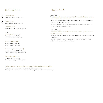# NAILS BAR

Manicura O Spa O Spa Manicure · O Spa Maniküre

Pedicura O Spa O Spa Pedicure · O Spa Pediküre

Esmaltado Exprés Express Nail Polish · Express Nagellack

Extras: Esmaltado manicura Francesa French Manicure Nail Polish Nagellack französische Maniküre

Esmalte Semipermanente Semi-Permanent Nail Polish

Semi-Permanent Nagellack

Esmalte Semipermanente (Retirar) Semi-Permanent Nail Polish (Remove) Semi-Permanent Nagellack (entfernen)

Masaje extra manos o pies Extra massage hands or feet Zusätzliche Massage Hände oder Füße.

# HAIR SPA

### **Sublime Gold**

Tratamiento antiedad que revitaliza y redensifica el cabello. Regenera el núcelo del cuero cabelludo y la fibra capilar.

Anti-aging treatment that revitalizes and redensifies the hair. Regenerates the core of the scalp and the hair fiber.

Anti-Aging-Behandlung, die das Haar revitalisiert und festigt. Regeneriert den Kern der Kopfhaut und die Haarfaser.

### **Platinum& Diamonds**

Tratamiento antiedad ara cabellos tratados o sin volumen. Aporta un extra de volumen y suavidad.

Anti-aging treatment for treated hair or without volume. Provides extra volume and softness.

Anti-Aging-Behandlung für behandeltes Haar oder ohne Volumen. Bietet zusätzliches Volumen und Geschmeidigkeit.

### Por favor pregunte a nuestro equipo si necesita depilaciones, peluquería o maquillaje

Please ask our team if you need hair removal, hairdressing or makeup. Bitte fragen Sie unser Team, wenn Sie Haarentfernung, Frisieren oder Make-up benötigen.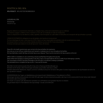## POLÍTICA DEL SPA

### SPA POLICY · SPA NUTZUNGSREGELN

LLEGADA AL SPA Arrival at Spa Ankunft im Spa

Rogamos rellenen el consentimiento informado a su llegada al Spa y antes de los tratamientos que va a disfrutar. Le invitamos a apagar su teléfono móvil y mantener un tono de voz moderado en todas las instalaciones. Tiene a su disposición el uso de albornoz, toallas, zapatillas y llave de taquilla, los cuales deben ser devueltos en la recepción del Spa al finalizar su jornada.

CÓDIGO DE VESTIMENTA Es obligatorio el uso de bañador y de chanclas en la zona termal. No está permitido el consumo de comida o bebidas alcohólicas a la zona de SPA. Fumar está prohibido. El tiempo estimado para realizar el circuito de Spa es de 1 hora y 30 minutos.

Please fill in the health questionnaire upon arrival at the Spa and before the treatments. We invite you to turn off your mobile phone and maintain a moderate tone of voice throughout the facilities. We have bathrobes, towels, flip flops and locker keys at your disposal. These must be returned to the Spa reception at the end.

DRESS CODE It is mandatory to use a swimming costume and flip flops throughout the spa area. Please refrain from bringing or wearing jewelry in the SPA, O Spa is not responsible for the loss or theft of your belongings or jewelry. The consumption of food or alcoholic beverages to the SPA area is not allowed. Smoking is prohibited. The estimated time to complete the Spa circuit is 1 hour and 30 minutes.

Bitte füllen Sie die Zustimmung bei Ankunft im Spa und vor Nutzung der Behandlungen aus. Wir bitten Sie Ihr Handy in allen Einrichtungen entweder auszuschalten oder leise zu stellen. Wirhalten Bademäntel, Badetücher, Slippers und einen Schließfachschlüssel für Sie bereit. Bitte geben Sie diese Gegenstände an der Spa Rezeption ab wenn Sie den Spa Bereich verlassen.

KLEIDERORDNUNG Das Tragen von Badekleidung und entsprechende Fußbekleidung im Thermalbereich ist Pflicht. Bitte bringen Sie keine Schmuckstücke mit in den SPA oder tragen Sie keine Verantwortung dafür, oder Spa ist nicht verantwortlich für den Verlust oder Diebstahl Ihrer Sachen oder Schmuckstücke.

Der Verzehr von Speisen oder alkoholischen Getränken ist im SPA-Bereich nicht gestattet. Rauchen ist verboten.

Die geschätzte Dauer im Thermalbereich des Spas beträgt 1 Stunde und 30 Minuten.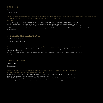## RESERVAS

### Reservations

Reservierungen

está indicada en el teléfono de su habitación. Le rogamos realice sus reservas de tratamientos con anterioridad.

To make a booking, please visit the Spa or call the hotel reception. If you are staying at the hotel, you can dial the extension of the Spa which can be found on the phone in your room. We please ask you to make your bookings with as much notice as possible. Um einen Termin zu vereinbaren, können Sie sich direkt an de Spa wenden oder die Hotel-Rezeption telefonisch kontaktieren. Wenn Sie im Hotel wohnen, wählen Sie direkt die Verbindungsnummern zum Spa die am Telefon Ihres Zimmers erscheint. Wir bitten Sie Ihren Terminabsprache im voraus zu unternehmen.

# CHECK-IN PARA TRATAMIENTOS

## Check-In for treatments

Check-In für Behandlungen

Recomendamos acudir a su cita 15 minutos antes de la hora acordada para prepararse y poder disfrutar del tiempo total de su tratamiento. We recommend you to turn up at the Spa 15 minutes before your treatment so you can prepare yourself and be able to enjoy the total time of your treatment.

Wir empfehlen bereits 15 Minuten vor dem Termin Ihrer Behandlung bereit zu sein um diese mit Ruhe zu beginnen und voll und ganz zu genießen.

## CANCELACIONES

Cancellations

Stornierungen

Si necesita cancelar su reserva, deberá hacerlo con al menos 24 horas de antelación. En caso de que no acuda a la cita y no avise de ello, tendrá que pagar la tarifa completa del tratamiento reservado.

If you need to cancel your booking, you must do so with at least 24 hours' notice. In the case that you did not turn up for your appointment, you would have to pay the full rate of the treatment reserved.

Sollten Sie Ihren Termin absagen wollen, bitten wir Sie mindestens 24 Stunden vorher die Absage zu melden. In dem Fall dass der Termin nicht rechtzeitig oder überhaupt nicht abgesagt wird, wird die reservierte Behandlung in Rechnung gestellt.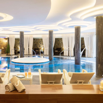